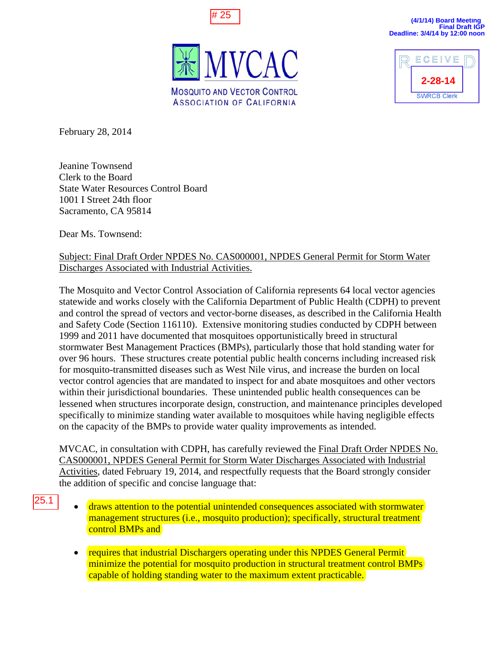





February 28, 2014

Jeanine Townsend Clerk to the Board State Water Resources Control Board 1001 I Street 24th floor Sacramento, CA 95814

Dear Ms. Townsend:

## Subject: Final Draft Order NPDES No. CAS000001, NPDES General Permit for Storm Water Discharges Associated with Industrial Activities.

The Mosquito and Vector Control Association of California represents 64 local vector agencies statewide and works closely with the California Department of Public Health (CDPH) to prevent and control the spread of vectors and vector-borne diseases, as described in the California Health and Safety Code (Section 116110). Extensive monitoring studies conducted by CDPH between 1999 and 2011 have documented that mosquitoes opportunistically breed in structural stormwater Best Management Practices (BMPs), particularly those that hold standing water for over 96 hours. These structures create potential public health concerns including increased risk for mosquito-transmitted diseases such as West Nile virus, and increase the burden on local vector control agencies that are mandated to inspect for and abate mosquitoes and other vectors within their jurisdictional boundaries. These unintended public health consequences can be lessened when structures incorporate design, construction, and maintenance principles developed specifically to minimize standing water available to mosquitoes while having negligible effects on the capacity of the BMPs to provide water quality improvements as intended. <sup>22</sup><br>
<sup>25</sup><br>
25.1 MC<br>
25.1 monoclonization of specifically to minimize standing ware and<br>
25.2 monoclonization of the David Chernal Clerk to the Board<br>
25.2 monoclonization<br>
26.2 24.1 How Secure 24.1 How Secure 24.1 monoclo

MVCAC, in consultation with CDPH, has carefully reviewed the Final Draft Order NPDES No. CAS000001, NPDES General Permit for Storm Water Discharges Associated with Industrial Activities, dated February 19, 2014, and respectfully requests that the Board strongly consider the addition of specific and concise language that:

- draws attention to the potential unintended consequences associated with stormwater management structures (i.e., mosquito production); specifically, structural treatment control BMPs and
	- requires that industrial Dischargers operating under this NPDES General Permit minimize the potential for mosquito production in structural treatment control BMPs capable of holding standing water to the maximum extent practicable.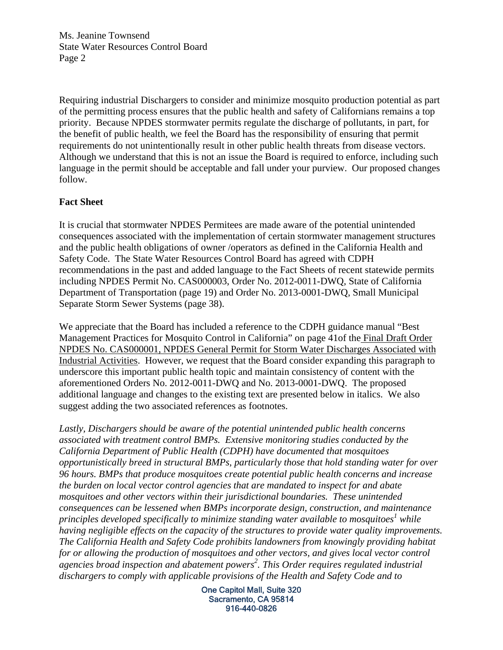Ms. Jeanine Townsend State Water Resources Control Board Page 2

Requiring industrial Dischargers to consider and minimize mosquito production potential as part of the permitting process ensures that the public health and safety of Californians remains a top priority. Because NPDES stormwater permits regulate the discharge of pollutants, in part, for the benefit of public health, we feel the Board has the responsibility of ensuring that permit requirements do not unintentionally result in other public health threats from disease vectors. Although we understand that this is not an issue the Board is required to enforce, including such language in the permit should be acceptable and fall under your purview. Our proposed changes follow.

## **Fact Sheet**

It is crucial that stormwater NPDES Permitees are made aware of the potential unintended consequences associated with the implementation of certain stormwater management structures and the public health obligations of owner /operators as defined in the California Health and Safety Code. The State Water Resources Control Board has agreed with CDPH recommendations in the past and added language to the Fact Sheets of recent statewide permits including NPDES Permit No. CAS000003, Order No. 2012-0011-DWQ, State of California Department of Transportation (page 19) and Order No. 2013-0001-DWQ, Small Municipal Separate Storm Sewer Systems (page 38).

We appreciate that the Board has included a reference to the CDPH guidance manual "Best Management Practices for Mosquito Control in California" on page 41of the Final Draft Order NPDES No. CAS000001, NPDES General Permit for Storm Water Discharges Associated with Industrial Activities. However, we request that the Board consider expanding this paragraph to underscore this important public health topic and maintain consistency of content with the aforementioned Orders No. 2012-0011-DWQ and No. 2013-0001-DWQ. The proposed additional language and changes to the existing text are presented below in italics. We also suggest adding the two associated references as footnotes.

*Lastly, Dischargers should be aware of the potential unintended public health concerns associated with treatment control BMPs. Extensive monitoring studies conducted by the California Department of Public Health (CDPH) have documented that mosquitoes opportunistically breed in structural BMPs, particularly those that hold standing water for over 96 hours. BMPs that produce mosquitoes create potential public health concerns and increase the burden on local vector control agencies that are mandated to inspect for and abate mosquitoes and other vectors within their jurisdictional boundaries. These unintended consequences can be lessened when BMPs incorporate design, construction, and maintenance principles developed specifically to minimize standing water available to mosquitoes<sup>1</sup> while having negligible effects on the capacity of the structures to provide water quality improvements. The California Health and Safety Code prohibits landowners from knowingly providing habitat for or allowing the production of mosquitoes and other vectors, and gives local vector control agencies broad inspection and abatement powers2 . This Order requires regulated industrial dischargers to comply with applicable provisions of the Health and Safety Code and to* 

> One Capitol Mall, Suite 320 Sacramento, CA 95814 916-440-0826